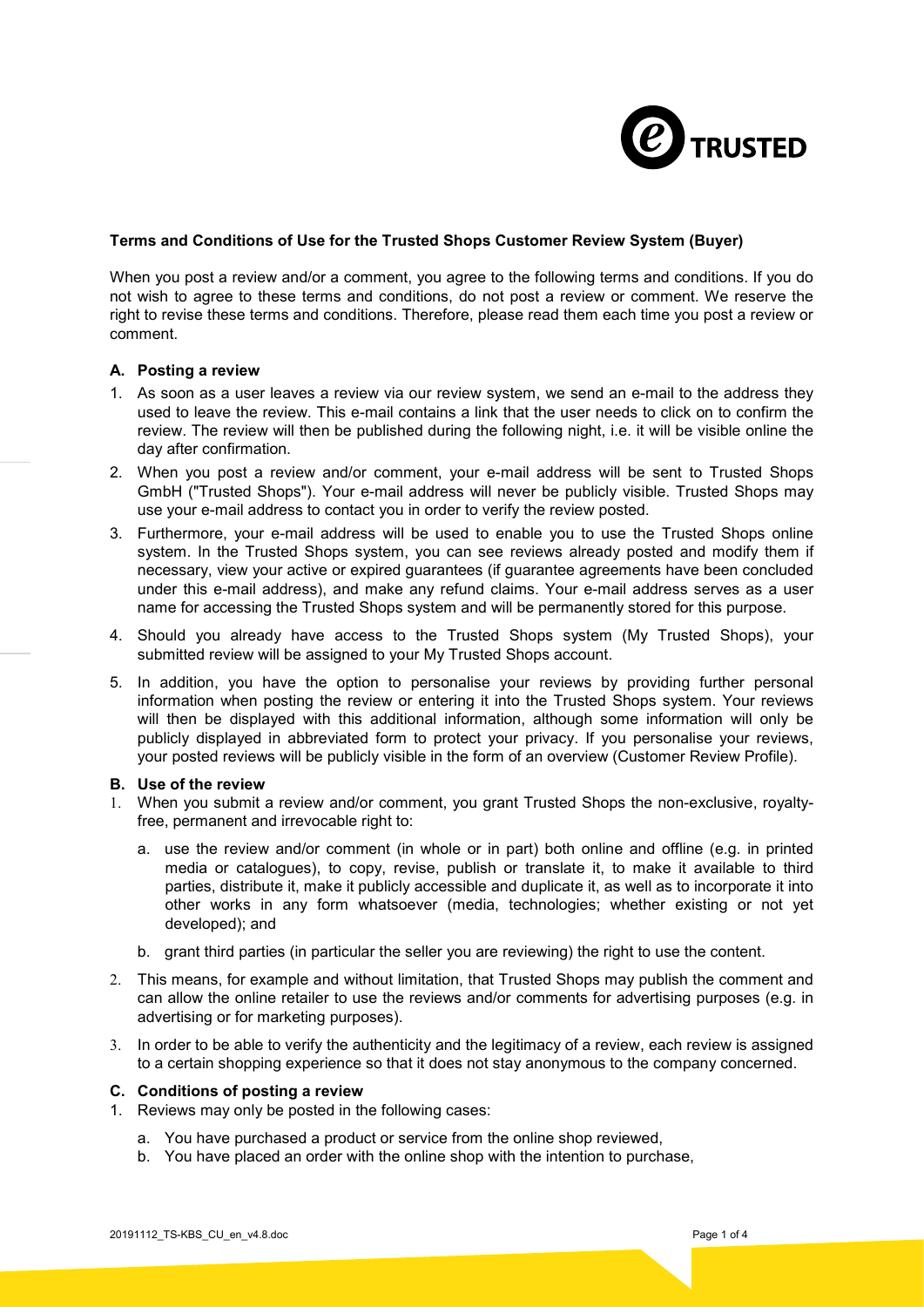

# **Terms and Conditions of Use for the Trusted Shops Customer Review System (Buyer)**

When you post a review and/or a comment, you agree to the following terms and conditions. If you do not wish to agree to these terms and conditions, do not post a review or comment. We reserve the right to revise these terms and conditions. Therefore, please read them each time you post a review or comment.

#### **A. Posting a review**

- 1. As soon as a user leaves a review via our review system, we send an e-mail to the address they used to leave the review. This e-mail contains a link that the user needs to click on to confirm the review. The review will then be published during the following night, i.e. it will be visible online the day after confirmation.
- 2. When you post a review and/or comment, your e-mail address will be sent to Trusted Shops GmbH ("Trusted Shops"). Your e-mail address will never be publicly visible. Trusted Shops may use your e-mail address to contact you in order to verify the review posted.
- 3. Furthermore, your e-mail address will be used to enable you to use the Trusted Shops online system. In the Trusted Shops system, you can see reviews already posted and modify them if necessary, view your active or expired guarantees (if guarantee agreements have been concluded under this e-mail address), and make any refund claims. Your e-mail address serves as a user name for accessing the Trusted Shops system and will be permanently stored for this purpose.
- 4. Should you already have access to the Trusted Shops system (My Trusted Shops), your submitted review will be assigned to your My Trusted Shops account.
- 5. In addition, you have the option to personalise your reviews by providing further personal information when posting the review or entering it into the Trusted Shops system. Your reviews will then be displayed with this additional information, although some information will only be publicly displayed in abbreviated form to protect your privacy. If you personalise your reviews, your posted reviews will be publicly visible in the form of an overview (Customer Review Profile).

## **B. Use of the review**

- 1. When you submit a review and/or comment, you grant Trusted Shops the non-exclusive, royaltyfree, permanent and irrevocable right to:
	- a. use the review and/or comment (in whole or in part) both online and offline (e.g. in printed media or catalogues), to copy, revise, publish or translate it, to make it available to third parties, distribute it, make it publicly accessible and duplicate it, as well as to incorporate it into other works in any form whatsoever (media, technologies; whether existing or not yet developed); and
	- b. grant third parties (in particular the seller you are reviewing) the right to use the content.
- 2. This means, for example and without limitation, that Trusted Shops may publish the comment and can allow the online retailer to use the reviews and/or comments for advertising purposes (e.g. in advertising or for marketing purposes).
- 3. In order to be able to verify the authenticity and the legitimacy of a review, each review is assigned to a certain shopping experience so that it does not stay anonymous to the company concerned.

#### **C. Conditions of posting a review**

- 1. Reviews may only be posted in the following cases:
	- a. You have purchased a product or service from the online shop reviewed,
	- b. You have placed an order with the online shop with the intention to purchase,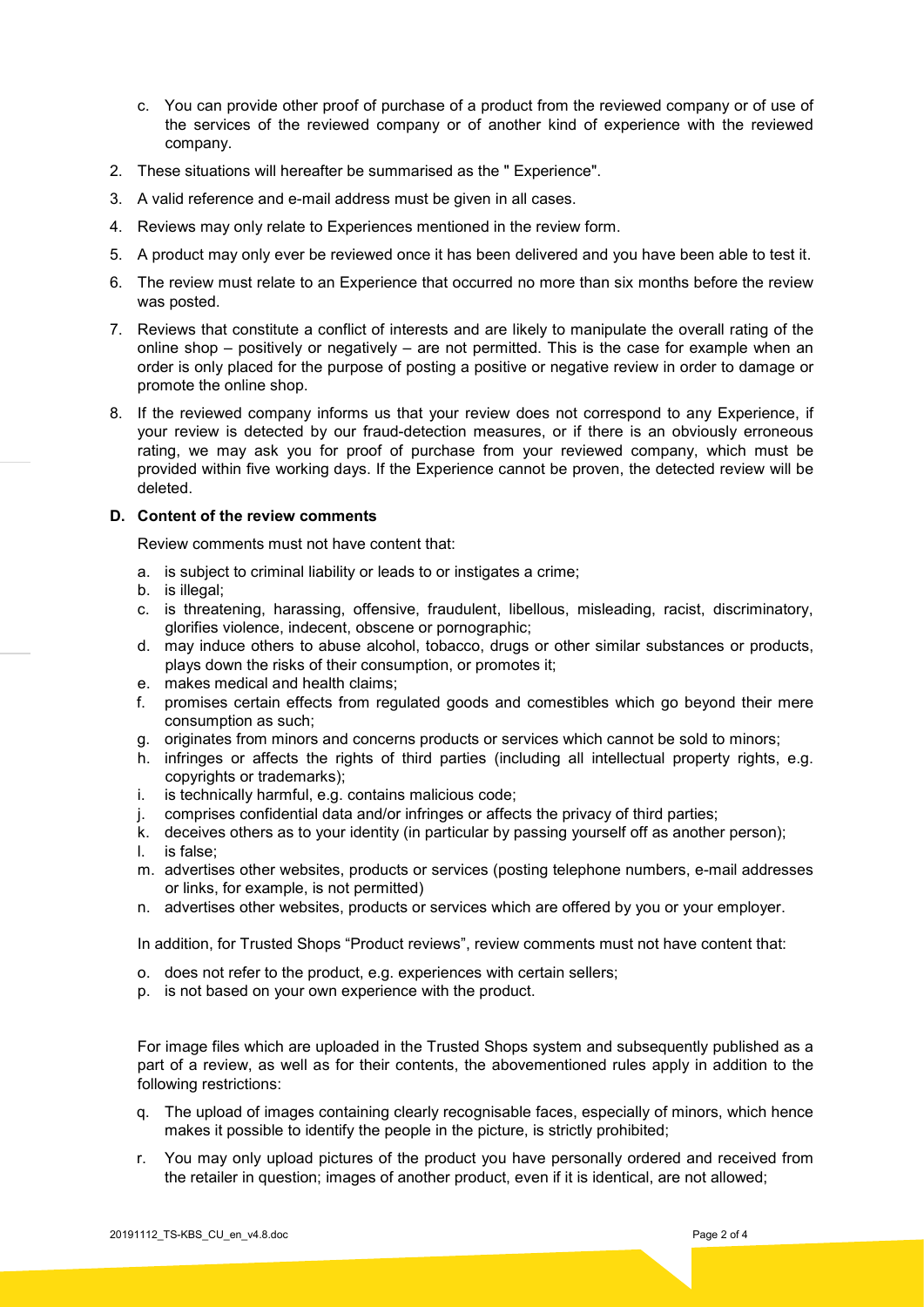- c. You can provide other proof of purchase of a product from the reviewed company or of use of the services of the reviewed company or of another kind of experience with the reviewed company.
- 2. These situations will hereafter be summarised as the " Experience".
- 3. A valid reference and e-mail address must be given in all cases.
- 4. Reviews may only relate to Experiences mentioned in the review form.
- 5. A product may only ever be reviewed once it has been delivered and you have been able to test it.
- 6. The review must relate to an Experience that occurred no more than six months before the review was posted.
- 7. Reviews that constitute a conflict of interests and are likely to manipulate the overall rating of the online shop – positively or negatively – are not permitted. This is the case for example when an order is only placed for the purpose of posting a positive or negative review in order to damage or promote the online shop.
- 8. If the reviewed company informs us that your review does not correspond to any Experience, if your review is detected by our fraud-detection measures, or if there is an obviously erroneous rating, we may ask you for proof of purchase from your reviewed company, which must be provided within five working days. If the Experience cannot be proven, the detected review will be deleted.

# **D. Content of the review comments**

Review comments must not have content that:

- a. is subject to criminal liability or leads to or instigates a crime;
- b. is illegal;
- c. is threatening, harassing, offensive, fraudulent, libellous, misleading, racist, discriminatory, glorifies violence, indecent, obscene or pornographic;
- d. may induce others to abuse alcohol, tobacco, drugs or other similar substances or products, plays down the risks of their consumption, or promotes it;
- e. makes medical and health claims;
- f. promises certain effects from regulated goods and comestibles which go beyond their mere consumption as such;
- g. originates from minors and concerns products or services which cannot be sold to minors;
- h. infringes or affects the rights of third parties (including all intellectual property rights, e.g. copyrights or trademarks);
- i. is technically harmful, e.g. contains malicious code;
- j. comprises confidential data and/or infringes or affects the privacy of third parties;
- k. deceives others as to your identity (in particular by passing yourself off as another person); l. is false;
- m. advertises other websites, products or services (posting telephone numbers, e-mail addresses or links, for example, is not permitted)
- n. advertises other websites, products or services which are offered by you or your employer.

In addition, for Trusted Shops "Product reviews", review comments must not have content that:

- o. does not refer to the product, e.g. experiences with certain sellers;
- p. is not based on your own experience with the product.

For image files which are uploaded in the Trusted Shops system and subsequently published as a part of a review, as well as for their contents, the abovementioned rules apply in addition to the following restrictions:

- q. The upload of images containing clearly recognisable faces, especially of minors, which hence makes it possible to identify the people in the picture, is strictly prohibited;
- r. You may only upload pictures of the product you have personally ordered and received from the retailer in question; images of another product, even if it is identical, are not allowed;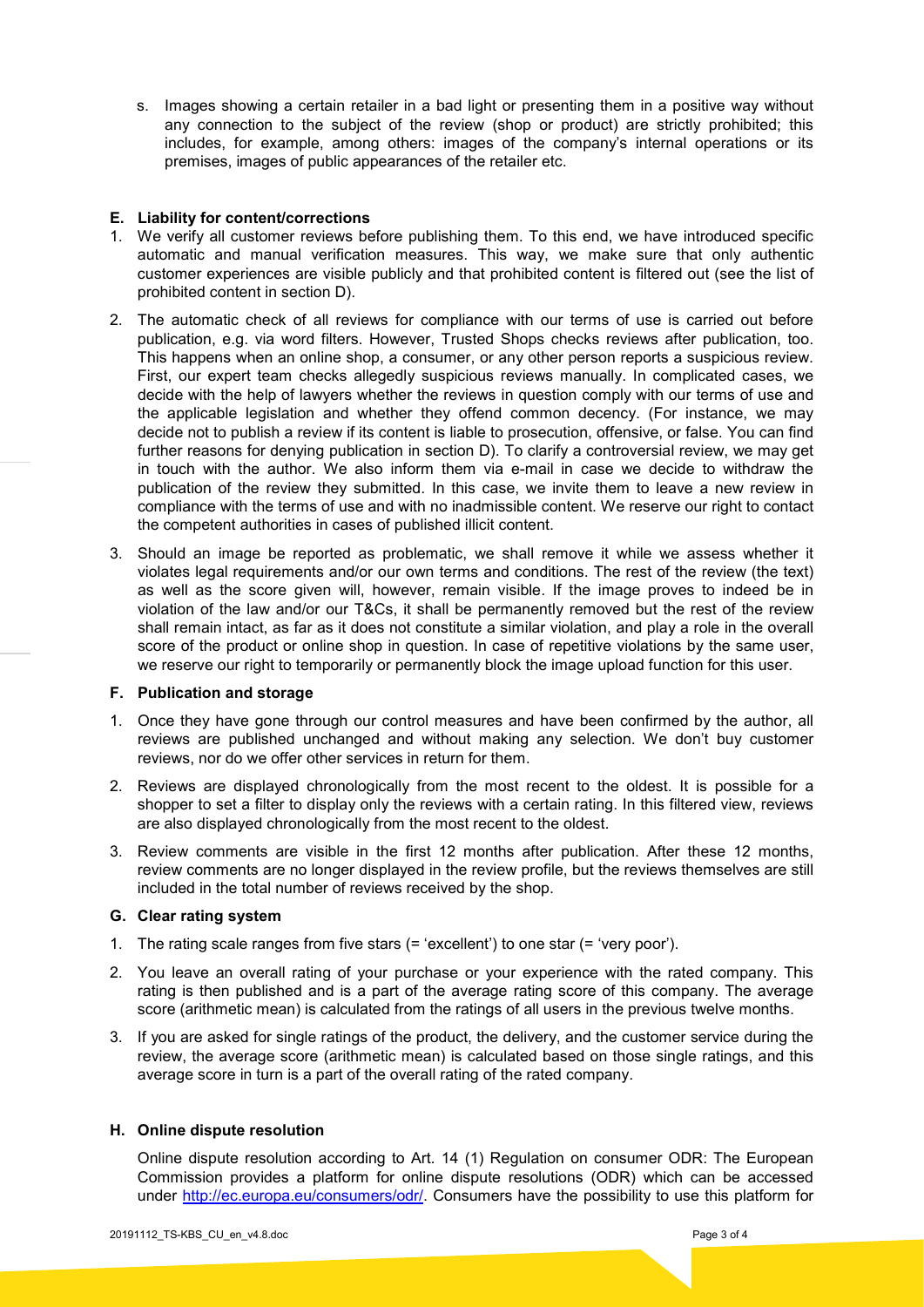s. Images showing a certain retailer in a bad light or presenting them in a positive way without any connection to the subject of the review (shop or product) are strictly prohibited; this includes, for example, among others: images of the company's internal operations or its premises, images of public appearances of the retailer etc.

## **E. Liability for content/corrections**

- 1. We verify all customer reviews before publishing them. To this end, we have introduced specific automatic and manual verification measures. This way, we make sure that only authentic customer experiences are visible publicly and that prohibited content is filtered out (see the list of prohibited content in section D).
- 2. The automatic check of all reviews for compliance with our terms of use is carried out before publication, e.g. via word filters. However, Trusted Shops checks reviews after publication, too. This happens when an online shop, a consumer, or any other person reports a suspicious review. First, our expert team checks allegedly suspicious reviews manually. In complicated cases, we decide with the help of lawyers whether the reviews in question comply with our terms of use and the applicable legislation and whether they offend common decency. (For instance, we may decide not to publish a review if its content is liable to prosecution, offensive, or false. You can find further reasons for denying publication in section D). To clarify a controversial review, we may get in touch with the author. We also inform them via e-mail in case we decide to withdraw the publication of the review they submitted. In this case, we invite them to leave a new review in compliance with the terms of use and with no inadmissible content. We reserve our right to contact the competent authorities in cases of published illicit content.
- 3. Should an image be reported as problematic, we shall remove it while we assess whether it violates legal requirements and/or our own terms and conditions. The rest of the review (the text) as well as the score given will, however, remain visible. If the image proves to indeed be in violation of the law and/or our T&Cs, it shall be permanently removed but the rest of the review shall remain intact, as far as it does not constitute a similar violation, and play a role in the overall score of the product or online shop in question. In case of repetitive violations by the same user, we reserve our right to temporarily or permanently block the image upload function for this user.

# **F. Publication and storage**

- 1. Once they have gone through our control measures and have been confirmed by the author, all reviews are published unchanged and without making any selection. We don't buy customer reviews, nor do we offer other services in return for them.
- 2. Reviews are displayed chronologically from the most recent to the oldest. It is possible for a shopper to set a filter to display only the reviews with a certain rating. In this filtered view, reviews are also displayed chronologically from the most recent to the oldest.
- 3. Review comments are visible in the first 12 months after publication. After these 12 months, review comments are no longer displayed in the review profile, but the reviews themselves are still included in the total number of reviews received by the shop.

#### **G. Clear rating system**

- 1. The rating scale ranges from five stars (= 'excellent') to one star (= 'very poor').
- 2. You leave an overall rating of your purchase or your experience with the rated company. This rating is then published and is a part of the average rating score of this company. The average score (arithmetic mean) is calculated from the ratings of all users in the previous twelve months.
- 3. If you are asked for single ratings of the product, the delivery, and the customer service during the review, the average score (arithmetic mean) is calculated based on those single ratings, and this average score in turn is a part of the overall rating of the rated company.

# **H. Online dispute resolution**

Online dispute resolution according to Art. 14 (1) Regulation on consumer ODR: The European Commission provides a platform for online dispute resolutions (ODR) which can be accessed under [http://ec.europa.eu/consumers/odr/.](http://ec.europa.eu/consumers/odr/) Consumers have the possibility to use this platform for